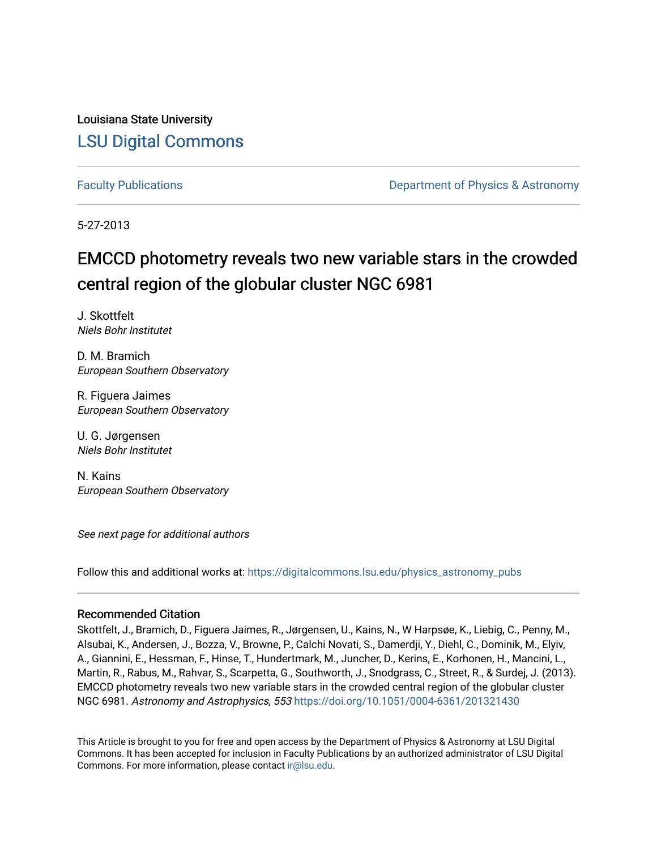Louisiana State University [LSU Digital Commons](https://digitalcommons.lsu.edu/)

[Faculty Publications](https://digitalcommons.lsu.edu/physics_astronomy_pubs) **Example 2** Constant Department of Physics & Astronomy

5-27-2013

# EMCCD photometry reveals two new variable stars in the crowded central region of the globular cluster NGC 6981

J. Skottfelt Niels Bohr Institutet

D. M. Bramich European Southern Observatory

R. Figuera Jaimes European Southern Observatory

U. G. Jørgensen Niels Bohr Institutet

N. Kains European Southern Observatory

See next page for additional authors

Follow this and additional works at: [https://digitalcommons.lsu.edu/physics\\_astronomy\\_pubs](https://digitalcommons.lsu.edu/physics_astronomy_pubs?utm_source=digitalcommons.lsu.edu%2Fphysics_astronomy_pubs%2F4210&utm_medium=PDF&utm_campaign=PDFCoverPages) 

### Recommended Citation

Skottfelt, J., Bramich, D., Figuera Jaimes, R., Jørgensen, U., Kains, N., W Harpsøe, K., Liebig, C., Penny, M., Alsubai, K., Andersen, J., Bozza, V., Browne, P., Calchi Novati, S., Damerdji, Y., Diehl, C., Dominik, M., Elyiv, A., Giannini, E., Hessman, F., Hinse, T., Hundertmark, M., Juncher, D., Kerins, E., Korhonen, H., Mancini, L., Martin, R., Rabus, M., Rahvar, S., Scarpetta, G., Southworth, J., Snodgrass, C., Street, R., & Surdej, J. (2013). EMCCD photometry reveals two new variable stars in the crowded central region of the globular cluster NGC 6981. Astronomy and Astrophysics, 553 <https://doi.org/10.1051/0004-6361/201321430>

This Article is brought to you for free and open access by the Department of Physics & Astronomy at LSU Digital Commons. It has been accepted for inclusion in Faculty Publications by an authorized administrator of LSU Digital Commons. For more information, please contact [ir@lsu.edu](mailto:ir@lsu.edu).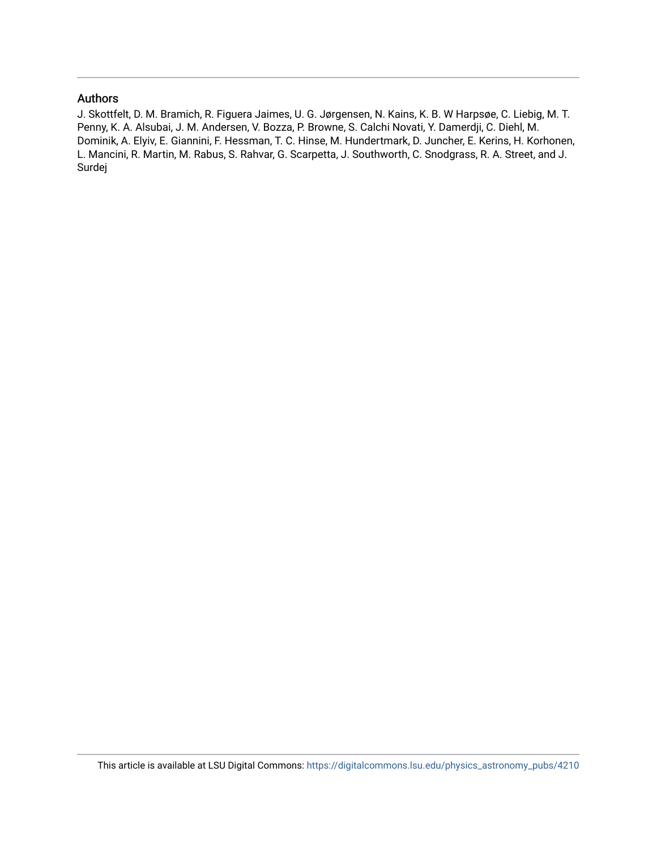## Authors

J. Skottfelt, D. M. Bramich, R. Figuera Jaimes, U. G. Jørgensen, N. Kains, K. B. W Harpsøe, C. Liebig, M. T. Penny, K. A. Alsubai, J. M. Andersen, V. Bozza, P. Browne, S. Calchi Novati, Y. Damerdji, C. Diehl, M. Dominik, A. Elyiv, E. Giannini, F. Hessman, T. C. Hinse, M. Hundertmark, D. Juncher, E. Kerins, H. Korhonen, L. Mancini, R. Martin, M. Rabus, S. Rahvar, G. Scarpetta, J. Southworth, C. Snodgrass, R. A. Street, and J. Surdej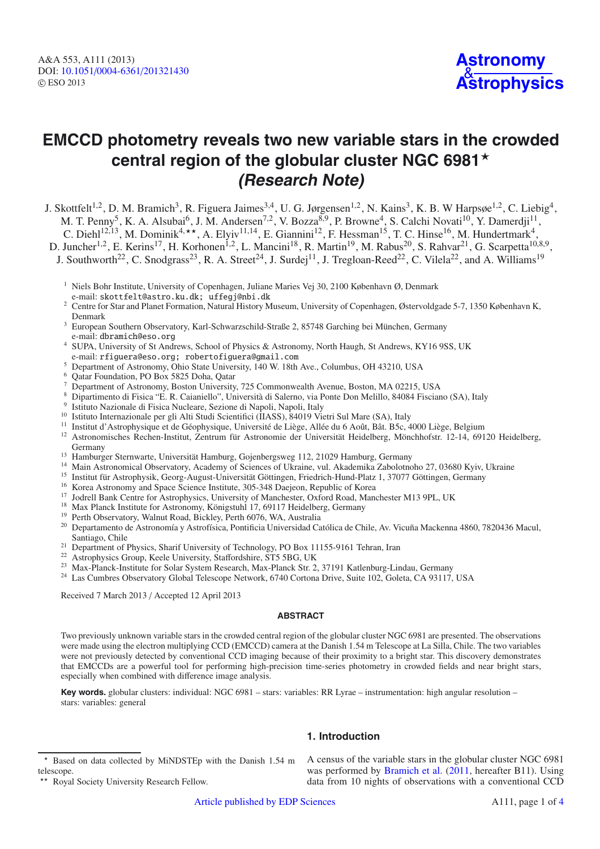# **EMCCD photometry reveals two new variable stars in the crowded central region of the globular cluster NGC 6981**-**(Research Note)**

J. Skottfelt<sup>1,2</sup>, D. M. Bramich<sup>3</sup>, R. Figuera Jaimes<sup>3,4</sup>, U. G. Jørgensen<sup>1,2</sup>, N. Kains<sup>3</sup>, K. B. W Harpsøe<sup>1,2</sup>, C. Liebig<sup>4</sup>, M. T. Penny<sup>5</sup>, K. A. Alsubai<sup>6</sup>, J. M. Andersen<sup>7,2</sup>, V. Bozza<sup>8,9</sup>, P. Browne<sup>4</sup>, S. Calchi Novati<sup>10</sup>, Y. Damerdji<sup>11</sup>, C. Diehl<sup>12,13</sup>, M. Dominik<sup>4,\*\*</sup>, A. Elyiv<sup>11,14</sup>, E. Giannini<sup>12</sup>, F. Hessman<sup>15</sup>, T. C. Hinse<sup>16</sup>, M. Hundertmark<sup>4</sup>,

D. Juncher<sup>1,2</sup>, E. Kerins<sup>17</sup>, H. Korhonen<sup>1,2</sup>, L. Mancini<sup>18</sup>, R. Martin<sup>19</sup>, M. Rabus<sup>20</sup>, S. Rahvar<sup>21</sup>, G. Scarpetta<sup>10,8,9</sup>,

J. Southworth<sup>22</sup>, C. Snodgrass<sup>23</sup>, R. A. Street<sup>24</sup>, J. Surdej<sup>11</sup>, J. Tregloan-Reed<sup>22</sup>, C. Vilela<sup>22</sup>, and A. Williams<sup>19</sup>

- <sup>1</sup> Niels Bohr Institute, University of Copenhagen, Juliane Maries Vej 30, 2100 København Ø, Denmark e-mail: skottfelt@astro.ku.dk; uffegj@nbi.dk
- <sup>2</sup> Centre for Star and Planet Formation, Natural History Museum, University of Copenhagen, Østervoldgade 5-7, 1350 København K, Denmark
- <sup>3</sup> European Southern Observatory, Karl-Schwarzschild-Straße 2, 85748 Garching bei München, Germany e-mail: dbramich@eso.org
- <sup>4</sup> SUPA, University of St Andrews, School of Physics & Astronomy, North Haugh, St Andrews, KY16 9SS, UK e-mail: rfiguera@eso.org; robertofiguera@gmail.com
- <sup>5</sup> Department of Astronomy, Ohio State University, 140 W. 18th Ave., Columbus, OH 43210, USA
- <sup>6</sup> Qatar Foundation, PO Box 5825 Doha, Qatar
- <sup>7</sup> Department of Astronomy, Boston University, 725 Commonwealth Avenue, Boston, MA 02215, USA
- <sup>8</sup> Dipartimento di Fisica "E. R. Caianiello", Università di Salerno, via Ponte Don Melillo, 84084 Fisciano (SA), Italy
- Istituto Nazionale di Fisica Nucleare, Sezione di Napoli, Napoli, Italy
- <sup>10</sup> Istituto Internazionale per gli Alti Studi Scientifici (IIASS), 84019 Vietri Sul Mare (SA), Italy
- <sup>11</sup> Institut d'Astrophysique et de Géophysique, Université de Liège, Allée du 6 Août, Bât. B5c, 4000 Liège, Belgium
- <sup>12</sup> Astronomisches Rechen-Institut, Zentrum für Astronomie der Universität Heidelberg, Mönchhofstr. 12-14, 69120 Heidelberg, Germany
- <sup>13</sup> Hamburger Sternwarte, Universität Hamburg, Gojenbergsweg 112, 21029 Hamburg, Germany
- <sup>14</sup> Main Astronomical Observatory, Academy of Sciences of Ukraine, vul. Akademika Zabolotnoho 27, 03680 Kyiv, Ukraine<br><sup>15</sup> Institut für Astrophysik, Georg-August-Universität Göttingen, Friedrich-Hund-Platz 1, 37077 Göttin
- 
- 
- 
- 
- 
- <sup>16</sup> Korea Astronomy and Space Science Institute, 305-348 Daejeon, Republic of Korea<br><sup>17</sup> Jodrell Bank Centre for Astrophysics, University of Manchester, Oxford Road, Manchester M13 9PL, UK<br><sup>18</sup> Max Planck Institute for A Santiago, Chile
- <sup>21</sup> Department of Physics, Sharif University of Technology, PO Box 11155-9161 Tehran, Iran<br><sup>22</sup> Astrophysics Group, Keele University, Staffordshire, ST5 5BG, UK
- 
- <sup>23</sup> Max-Planck-Institute for Solar System Research, Max-Planck Str. 2, 37191 Katlenburg-Lindau, Germany
- <sup>24</sup> Las Cumbres Observatory Global Telescope Network, 6740 Cortona Drive, Suite 102, Goleta, CA 93117, USA

Received 7 March 2013 / Accepted 12 April 2013

#### **ABSTRACT**

Two previously unknown variable stars in the crowded central region of the globular cluster NGC 6981 are presented. The observations were made using the electron multiplying CCD (EMCCD) camera at the Danish 1.54 m Telescope at La Silla, Chile. The two variables were not previously detected by conventional CCD imaging because of their proximity to a bright star. This discovery demonstrates that EMCCDs are a powerful tool for performing high-precision time-series photometry in crowded fields and near bright stars, especially when combined with difference image analysis.

**1. Introduction**

**Key words.** globular clusters: individual: NGC 6981 – stars: variables: RR Lyrae – instrumentation: high angular resolution – stars: variables: general

# A census of the variable stars in the globular cluster NGC 6981

was performed by [Bramich et al.](#page-5-0) [\(2011,](#page-5-0) hereafter B11). Using data from 10 nights of observations with a conventional CCD

<sup>-</sup> Based on data collected by MiNDSTEp with the Danish 1.54 m telescope.

<sup>\*\*</sup> Royal Society University Research Fellow.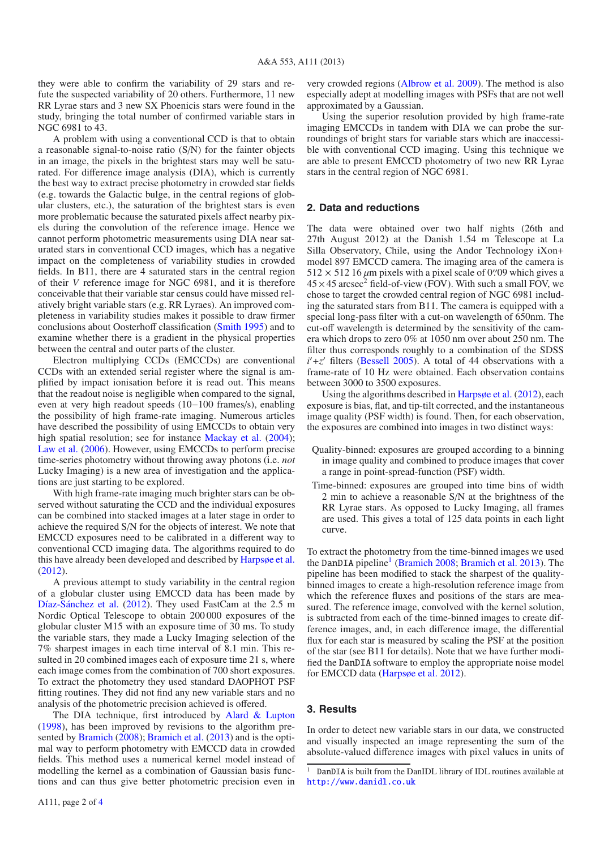they were able to confirm the variability of 29 stars and refute the suspected variability of 20 others. Furthermore, 11 new RR Lyrae stars and 3 new SX Phoenicis stars were found in the study, bringing the total number of confirmed variable stars in NGC 6981 to 43.

A problem with using a conventional CCD is that to obtain a reasonable signal-to-noise ratio (S/N) for the fainter objects in an image, the pixels in the brightest stars may well be saturated. For difference image analysis (DIA), which is currently the best way to extract precise photometry in crowded star fields (e.g. towards the Galactic bulge, in the central regions of globular clusters, etc.), the saturation of the brightest stars is even more problematic because the saturated pixels affect nearby pixels during the convolution of the reference image. Hence we cannot perform photometric measurements using DIA near saturated stars in conventional CCD images, which has a negative impact on the completeness of variability studies in crowded fields. In B11, there are 4 saturated stars in the central region of their *V* reference image for NGC 6981, and it is therefore conceivable that their variable star census could have missed relatively bright variable stars (e.g. RR Lyraes). An improved completeness in variability studies makes it possible to draw firmer conclusions about Oosterhoff classification [\(Smith 1995\)](#page-5-2) and to examine whether there is a gradient in the physical properties between the central and outer parts of the cluster.

Electron multiplying CCDs (EMCCDs) are conventional CCDs with an extended serial register where the signal is amplified by impact ionisation before it is read out. This means that the readout noise is negligible when compared to the signal, even at very high readout speeds (10−100 frames/s), enabling the possibility of high frame-rate imaging. Numerous articles have described the possibility of using EMCCDs to obtain very high spatial resolution; see for instance [Mackay et al.](#page-5-3) [\(2004\)](#page-5-3); [Law et al.](#page-5-4) [\(2006\)](#page-5-4). However, using EMCCDs to perform precise time-series photometry without throwing away photons (i.e. *not* Lucky Imaging) is a new area of investigation and the applications are just starting to be explored.

With high frame-rate imaging much brighter stars can be observed without saturating the CCD and the individual exposures can be combined into stacked images at a later stage in order to achieve the required S/N for the objects of interest. We note that EMCCD exposures need to be calibrated in a different way to conventional CCD imaging data. The algorithms required to do this have already been developed and described by [Harpsøe et al.](#page-5-5) [\(2012](#page-5-5)).

A previous attempt to study variability in the central region of a globular cluster using EMCCD data has been made by [Díaz-Sánchez et al.](#page-5-6) [\(2012](#page-5-6)). They used FastCam at the 2.5 m Nordic Optical Telescope to obtain 200 000 exposures of the globular cluster M15 with an exposure time of 30 ms. To study the variable stars, they made a Lucky Imaging selection of the 7% sharpest images in each time interval of 8.1 min. This resulted in 20 combined images each of exposure time 21 s, where each image comes from the combination of 700 short exposures. To extract the photometry they used standard DAOPHOT PSF fitting routines. They did not find any new variable stars and no analysis of the photometric precision achieved is offered.

The DIA technique, first introduced by [Alard & Lupton](#page-5-7) [\(1998](#page-5-7)), has been improved by revisions to the algorithm presented by [Bramich](#page-5-8) [\(2008](#page-5-8)); [Bramich et al.](#page-5-9) [\(2013](#page-5-9)) and is the optimal way to perform photometry with EMCCD data in crowded fields. This method uses a numerical kernel model instead of modelling the kernel as a combination of Gaussian basis functions and can thus give better photometric precision even in very crowded regions [\(Albrow et al. 2009\)](#page-5-10). The method is also especially adept at modelling images with PSFs that are not well approximated by a Gaussian.

Using the superior resolution provided by high frame-rate imaging EMCCDs in tandem with DIA we can probe the surroundings of bright stars for variable stars which are inaccessible with conventional CCD imaging. Using this technique we are able to present EMCCD photometry of two new RR Lyrae stars in the central region of NGC 6981.

### **2. Data and reductions**

The data were obtained over two half nights (26th and 27th August 2012) at the Danish 1.54 m Telescope at La Silla Observatory, Chile, using the Andor Technology iXon+ model 897 EMCCD camera. The imaging area of the camera is  $512 \times 512$  16  $\mu$ m pixels with a pixel scale of 0.09 which gives a  $45 \times 45$  arcsec<sup>2</sup> field-of-view (FOV). With such a small FOV, we chose to target the crowded central region of NGC 6981 including the saturated stars from B11. The camera is equipped with a special long-pass filter with a cut-on wavelength of 650nm. The cut-off wavelength is determined by the sensitivity of the camera which drops to zero 0% at 1050 nm over about 250 nm. The filter thus corresponds roughly to a combination of the SDSS *i*<sup> $+z'$ </sup> filters [\(Bessell 2005](#page-5-11)). A total of 44 observations with a frame-rate of 10 Hz were obtained. Each observation contains between 3000 to 3500 exposures.

Using the algorithms described in [Harpsøe et al.](#page-5-5) [\(2012\)](#page-5-5), each exposure is bias, flat, and tip-tilt corrected, and the instantaneous image quality (PSF width) is found. Then, for each observation, the exposures are combined into images in two distinct ways:

- Quality-binned: exposures are grouped according to a binning in image quality and combined to produce images that cover a range in point-spread-function (PSF) width.
- Time-binned: exposures are grouped into time bins of width 2 min to achieve a reasonable S/N at the brightness of the RR Lyrae stars. As opposed to Lucky Imaging, all frames are used. This gives a total of 125 data points in each light curve.

To extract the photometry from the time-binned images we used the DanDIA pipeline<sup>1</sup> [\(Bramich 2008;](#page-5-8) [Bramich et al. 2013\)](#page-5-9). The pipeline has been modified to stack the sharpest of the qualitybinned images to create a high-resolution reference image from which the reference fluxes and positions of the stars are measured. The reference image, convolved with the kernel solution, is subtracted from each of the time-binned images to create difference images, and, in each difference image, the differential flux for each star is measured by scaling the PSF at the position of the star (see B11 for details). Note that we have further modified the DanDIA software to employ the appropriate noise model for EMCCD data [\(Harpsøe et al. 2012\)](#page-5-5).

### <span id="page-3-1"></span><span id="page-3-0"></span>**3. Results**

In order to detect new variable stars in our data, we constructed and visually inspected an image representing the sum of the absolute-valued difference images with pixel values in units of

<sup>&</sup>lt;sup>1</sup> DanDIA is built from the DanIDL library of IDL routines available at <http://www.danidl.co.uk>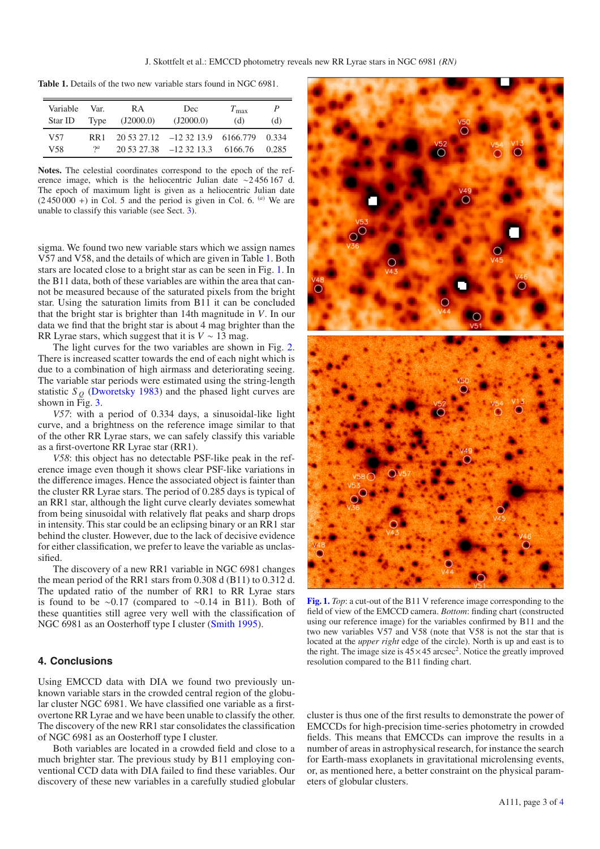<span id="page-4-0"></span>**Table 1.** Details of the two new variable stars found in NGC 6981.

| Variable   | Var.              | R A       | Dec                                                               | $T_{\rm max}$ | P              |
|------------|-------------------|-----------|-------------------------------------------------------------------|---------------|----------------|
| Star ID    | Type              | (J2000.0) | (J2000.0)                                                         | (d)           | (d)            |
| V57<br>V58 | RR1<br>$\gamma$ a |           | $20,53,27.12$ -12,32,13.9 6166.779<br>$20\,53\,27.38$ -12 32 13.3 | 6166.76       | 0.334<br>0.285 |

**Notes.** The celestial coordinates correspond to the epoch of the reference image, which is the heliocentric Julian date ∼2 456 167 d. The epoch of maximum light is given as a heliocentric Julian date  $(2\,450\,000 +)$  in Col. 5 and the period is given in Col. 6. <sup>(a)</sup> We are unable to classify this variable (see Sect. [3\)](#page-3-1).

sigma. We found two new variable stars which we assign names V57 and V58, and the details of which are given in Table [1.](#page-4-0) Both stars are located close to a bright star as can be seen in Fig. [1.](#page-4-1) In the B11 data, both of these variables are within the area that cannot be measured because of the saturated pixels from the bright star. Using the saturation limits from B11 it can be concluded that the bright star is brighter than 14th magnitude in *V*. In our data we find that the bright star is about 4 mag brighter than the RR Lyrae stars, which suggest that it is  $V \sim 13$  mag.

The light curves for the two variables are shown in Fig. [2.](#page-5-12) There is increased scatter towards the end of each night which is due to a combination of high airmass and deteriorating seeing. The variable star periods were estimated using the string-length statistic  $S<sub>O</sub>$  [\(Dworetsky 1983\)](#page-5-13) and the phased light curves are shown in Fig.  $3$ .

*V57*: with a period of 0.334 days, a sinusoidal-like light curve, and a brightness on the reference image similar to that of the other RR Lyrae stars, we can safely classify this variable as a first-overtone RR Lyrae star (RR1).

<span id="page-4-1"></span>*V58*: this object has no detectable PSF-like peak in the reference image even though it shows clear PSF-like variations in the difference images. Hence the associated object is fainter than the cluster RR Lyrae stars. The period of 0.285 days is typical of an RR1 star, although the light curve clearly deviates somewhat from being sinusoidal with relatively flat peaks and sharp drops in intensity. This star could be an eclipsing binary or an RR1 star behind the cluster. However, due to the lack of decisive evidence for either classification, we prefer to leave the variable as unclassified.

The discovery of a new RR1 variable in NGC 6981 changes the mean period of the RR1 stars from 0.308 d (B11) to 0.312 d. The updated ratio of the number of RR1 to RR Lyrae stars is found to be ∼0.17 (compared to ∼0.14 in B11). Both of these quantities still agree very well with the classification of NGC 6981 as an Oosterhoff type I cluster [\(Smith 1995\)](#page-5-2).

### **4. Conclusions**

Using EMCCD data with DIA we found two previously unknown variable stars in the crowded central region of the globular cluster NGC 6981. We have classified one variable as a firstovertone RR Lyrae and we have been unable to classify the other. The discovery of the new RR1 star consolidates the classification of NGC 6981 as an Oosterhoff type I cluster.

Both variables are located in a crowded field and close to a much brighter star. The previous study by B11 employing conventional CCD data with DIA failed to find these variables. Our discovery of these new variables in a carefully studied globular



**[Fig. 1.](http://dexter.edpsciences.org/applet.php?DOI=10.1051/0004-6361/201321430&pdf_id=1)** *Top*: a cut-out of the B11 V reference image corresponding to the field of view of the EMCCD camera. *Bottom*: finding chart (constructed using our reference image) for the variables confirmed by B11 and the two new variables V57 and V58 (note that V58 is not the star that is located at the *upper right* edge of the circle). North is up and east is to the right. The image size is  $45 \times 45$  arcsec<sup>2</sup>. Notice the greatly improved resolution compared to the B11 finding chart.

cluster is thus one of the first results to demonstrate the power of EMCCDs for high-precision time-series photometry in crowded fields. This means that EMCCDs can improve the results in a number of areas in astrophysical research, for instance the search for Earth-mass exoplanets in gravitational microlensing events, or, as mentioned here, a better constraint on the physical parameters of globular clusters.